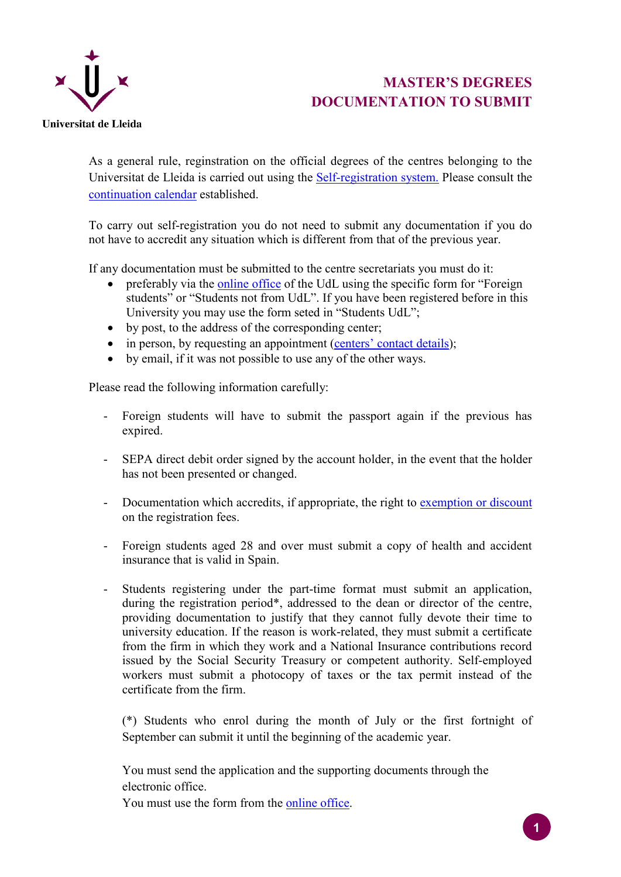

## **MASTER'S DEGREES DOCUMENTATION TO SUBMIT**

As a general rule, reginstration on the official degrees of the centres belonging to the Universitat de Lleida is carried out using the [Self-registration](https://automat.udl.cat/automatricula/index.jsp?_ga=1.139602419.176586569.1429100817) system. Please consult the [continuation calendar](https://www.udl.cat/ca/serveis/aga/.galleries/docs/Documentacio_matricula_automatricula/calendaripreinscripciomasters_SEGON_CURS.pdf) established.

To carry out self-registration you do not need to submit any documentation if you do not have to accredit any situation which is different from that of the previous year.

If any documentation must be submitted to the centre secretariats you must do it:

- preferably via the [online office](https://seuelectronica.udl.cat/registreelectronic.php) of the UdL using the specific form for "Foreign students" or "Students not from UdL". If you have been registered before in this University you may use the form seted in "Students UdL";
- by post, to the address of the corresponding center;
- in person, by requesting an appointment [\(centers' contact details\)](https://www.udl.cat/ca/es/centros/);
- by email, if it was not possible to use any of the other ways.

Please read the following information carefully:

- Foreign students will have to submit the passport again if the previous has expired.
- SEPA direct debit order signed by the account holder, in the event that the holder has not been presented or changed.
- Documentation which accredits, if appropriate, the right to [exemption or discount](https://www.udl.cat/ca/serveis/aga/.galleries/docs/Documentacio_matricula_automatricula/exempcions_bonificacions_master_ang.pdf) on the registration fees.
- Foreign students aged 28 and over must submit a copy of health and accident insurance that is valid in Spain.
- Students registering under the part-time format must submit an application, during the registration period\*, addressed to the dean or director of the centre, providing documentation to justify that they cannot fully devote their time to university education. If the reason is work-related, they must submit a certificate from the firm in which they work and a National Insurance contributions record issued by the Social Security Treasury or competent authority. Self-employed workers must submit a photocopy of taxes or the tax permit instead of the certificate from the firm.

(\*) Students who enrol during the month of July or the first fortnight of September can submit it until the beginning of the academic year.

You must send the application and the supporting documents through the electronic office.

You must use the form from the [online office.](https://seuelectronica.udl.cat/registreelectronic.php)